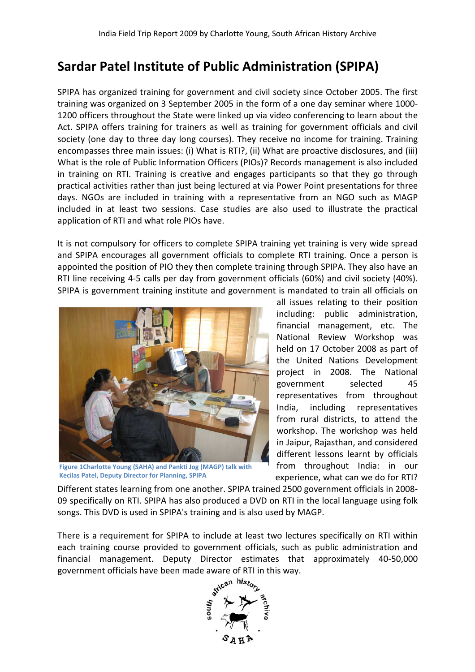## **Sardar Patel Institute of Public Administration (SPIPA)**

SPIPA has organized training for government and civil society since October 2005. The first training was organized on 3 September 2005 in the form of a one day seminar where 1000 1200 officers throughout the State were linked up via video conferencing to learn about the Act. SPIPA offers training for trainers as well as training for government officials and civil society (one day to three day long courses). They receive no income for training. Training encompasses three main issues: (i) What is RTI?, (ii) What are proactive disclosures, and (iii) What is the role of Public Information Officers (PIOs)? Records management is also included in training on RTI. Training is creative and engages participants so that they go through practical activities rather than just being lectured at via Power Point presentations for three days. NGOs are included in training with a representative from an NGO such as MAGP included in at least two sessions. Case studies are also used to illustrate the practical application of RTI and what role PIOs have. g was organized on 3 September 2005 in the form of a one day semany where 1000-<br>
PIPA offers training for training for typical organization (one day semanted reficies throughout the state were linked up was viel as trainin

It is not compulsory for officers to complete SPIPA training yet training is very wide spread and SPIPA encourages all government officials to complete RTI training. Once a person is appointed the position of PIO they then complete training through SPIPA. They also have an RTI line receiving 4-5 calls per day from government officials (60%) and civil society (40%). SPIPA is government training institute and government is mandated to train all officials on 5 calls per day from government officials (60%) and civil society (40%).<br>I training institute and government is mandated to train all officials on<br>all issues relating to their position



**Figure 1Charlotte Young (SAHA) and Pankti Jog (MAGP) talk with Kecilas Patel, Deputy Director for Planning, SPIPA**

including: public administration, financial management, etc. The National Review Workshop was held on 17 October 2008 as part of the United Nations Development project in 2008. The National government selected 45 representatives from throughout India, including representatives from rural districts, to attend the workshop. The workshop was held in Jaipur, Rajasthan, and considered different lessons learnt by officials from throughout India: in our experience, what can we do for RTI? ipants so that they go through<br>ver Point presentations for three<br>e from an NGO such as MAGP<br>used to illustrate the practical<br>yet training is very wide spread<br>e RTI training. Once a person is<br>hrough SPIPA. They also have an

Different states learning from one another. SPIPA trained 2500 government officials in 2008 09 specifically on RTI. SPIPA has also produced a DVD on RTI in the local language using folk songs. This DVD is used in SPIPA's training and is also used by MAGP.

There is a requirement for SPIPA to include at least two lectures specifically on RTI within each training course provided to government officials, such as public administration and financial management. Deputy Director estimates that approximately 40 40-50,000 government officials have been made aware of RTI in this way.